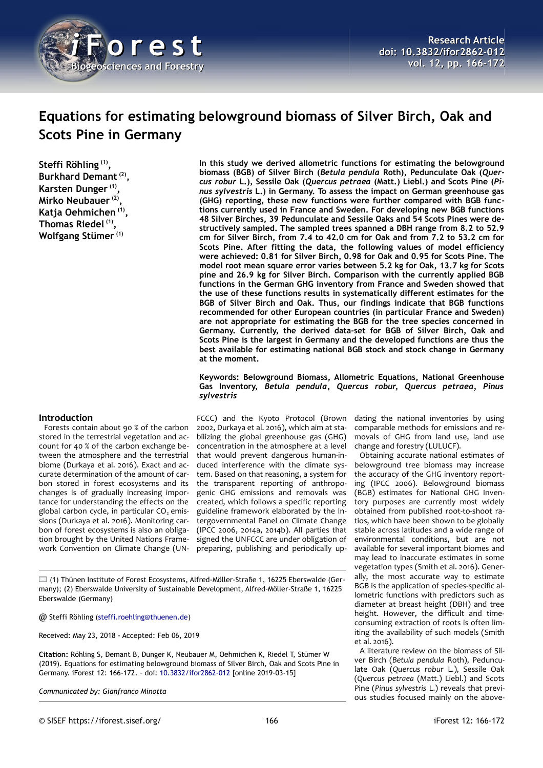

# **Equations for estimating belowground biomass of Silver Birch, Oak and Scots Pine in Germany**

**Steffi Röhling (1) , Burkhard Demant (2) , Karsten Dunger (1) , Mirko Neubauer (2) , Katja Oehmichen (1) , Thomas Riedel (1) , Wolfgang Stümer (1)**

# **Introduction**

Forests contain about 90 % of the carbon stored in the terrestrial vegetation and account for 40 % of the carbon exchange between the atmosphere and the terrestrial biome (Durkaya et al. 2016). Exact and accurate determination of the amount of carbon stored in forest ecosystems and its changes is of gradually increasing importance for understanding the effects on the global carbon cycle, in particular  $CO<sub>2</sub>$  emissions (Durkaya et al. 2016). Monitoring carbon of forest ecosystems is also an obligation brought by the United Nations Framework Convention on Climate Change (UN-

**In this study we derived allometric functions for estimating the belowground biomass (BGB) of Silver Birch (***Betula pendula* **Roth), Pedunculate Oak (***Quercus robur* **L.), Sessile Oak (***Quercus petraea* **(Matt.) Liebl.) and Scots Pine (***Pinus sylvestris* **L.) in Germany. To assess the impact on German greenhouse gas (GHG) reporting, these new functions were further compared with BGB functions currently used in France and Sweden. For developing new BGB functions 48 Silver Birches, 39 Pedunculate and Sessile Oaks and 54 Scots Pines were destructively sampled. The sampled trees spanned a DBH range from 8.2 to 52.9 cm for Silver Birch, from 7.4 to 42.0 cm for Oak and from 7.2 to 53.2 cm for Scots Pine. After fitting the data, the following values of model efficiency were achieved: 0.81 for Silver Birch, 0.98 for Oak and 0.95 for Scots Pine. The model root mean square error varies between 5.2 kg for Oak, 13.7 kg for Scots pine and 26.9 kg for Silver Birch. Comparison with the currently applied BGB functions in the German GHG inventory from France and Sweden showed that the use of these functions results in systematically different estimates for the BGB of Silver Birch and Oak. Thus, our findings indicate that BGB functions recommended for other European countries (in particular France and Sweden) are not appropriate for estimating the BGB for the tree species concerned in Germany. Currently, the derived data-set for BGB of Silver Birch, Oak and Scots Pine is the largest in Germany and the developed functions are thus the best available for estimating national BGB stock and stock change in Germany at the moment.**

**Keywords: Belowground Biomass, Allometric Equations, National Greenhouse Gas Inventory,** *Betula pendula***,** *Quercus robur***,** *Quercus petraea, Pinus sylvestris*

FCCC) and the Kyoto Protocol (Brown 2002, Durkaya et al. 2016), which aim at stabilizing the global greenhouse gas (GHG) concentration in the atmosphere at a level that would prevent dangerous human-induced interference with the climate system. Based on that reasoning, a system for the transparent reporting of anthropogenic GHG emissions and removals was created, which follows a specific reporting guideline framework elaborated by the Intergovernmental Panel on Climate Change (IPCC 2006, 2014a, 2014b). All parties that signed the UNFCCC are under obligation of preparing, publishing and periodically up-

(1) Thünen Institute of Forest Ecosystems, Alfred-Möller-Straße 1, 16225 Eberswalde (Germany); (2) Eberswalde University of Sustainable Development, Alfred-Möller-Straße 1, 16225 Eberswalde (Germany)

@ Steffi Röhling [\(steffi.roehling@thuenen.de\)](mailto:steffi.roehling@thuenen.de)

Received: May 23, 2018 - Accepted: Feb 06, 2019

**Citation:** Röhling S, Demant B, Dunger K, Neubauer M, Oehmichen K, Riedel T, Stümer W (2019). Equations for estimating belowground biomass of Silver Birch, Oak and Scots Pine in Germany. iForest 12: 166-172. – doi: [10.3832/ifor2862-012](http://www.sisef.it/iforest/contents/?id=ifor2862-012) [online 2019-03-15]

*Communicated by: Gianfranco Minotta*

dating the national inventories by using comparable methods for emissions and removals of GHG from land use, land use change and forestry (LULUCF).

Obtaining accurate national estimates of belowground tree biomass may increase the accuracy of the GHG inventory reporting (IPCC 2006). Belowground biomass (BGB) estimates for National GHG Inventory purposes are currently most widely obtained from published root-to-shoot ratios, which have been shown to be globally stable across latitudes and a wide range of environmental conditions, but are not available for several important biomes and may lead to inaccurate estimates in some vegetation types (Smith et al. 2016). Generally, the most accurate way to estimate BGB is the application of species-specific allometric functions with predictors such as diameter at breast height (DBH) and tree height. However, the difficult and timeconsuming extraction of roots is often limiting the availability of such models (Smith et al. 2016).

A literature review on the biomass of Silver Birch (*Betula pendula* Roth), Pedunculate Oak (*Quercus robur* L.), Sessile Oak (*Quercus petraea* (Matt.) Liebl.) and Scots Pine (*Pinus sylvestris* L.) reveals that previous studies focused mainly on the above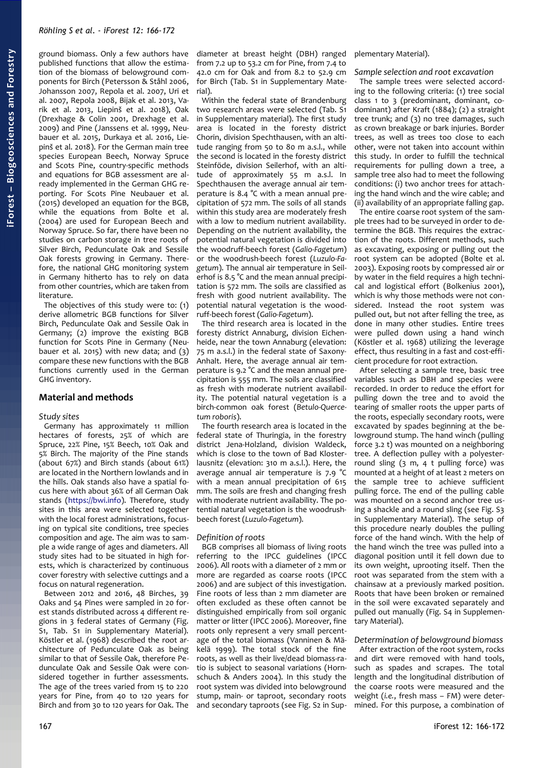ground biomass. Only a few authors have published functions that allow the estimation of the biomass of belowground components for Birch (Petersson & Ståhl 2006, Johansson 2007, Repola et al. 2007, Uri et al. 2007, Repola 2008, Bijak et al. 2013, Varik et al. 2013, Liepinš et al. 2018), Oak (Drexhage & Colin 2001, Drexhage et al. 2009) and Pine (Janssens et al. 1999, Neubauer et al. 2015, Durkaya et al. 2016, Liepinš et al. 2018). For the German main tree species European Beech, Norway Spruce and Scots Pine, country-specific methods and equations for BGB assessment are already implemented in the German GHG reporting. For Scots Pine Neubauer et al. (2015) developed an equation for the BGB, while the equations from Bolte et al. (2004) are used for European Beech and Norway Spruce. So far, there have been no studies on carbon storage in tree roots of Silver Birch, Pedunculate Oak and Sessile Oak forests growing in Germany. Therefore, the national GHG monitoring system in Germany hitherto has to rely on data from other countries, which are taken from literature.

The objectives of this study were to: (1) derive allometric BGB functions for Silver Birch, Pedunculate Oak and Sessile Oak in Germany; (2) improve the existing BGB function for Scots Pine in Germany (Neubauer et al. 2015) with new data; and  $(3)$ compare these new functions with the BGB functions currently used in the German GHG inventory.

## **Material and methods**

#### *Study sites*

Germany has approximately 11 million hectares of forests, 25% of which are Spruce, 22% Pine, 15% Beech, 10% Oak and 5% Birch. The majority of the Pine stands (about 67%) and Birch stands (about 61%) are located in the Northern lowlands and in the hills. Oak stands also have a spatial focus here with about 36% of all German Oak stands [\(https://bwi.info\)](https://bwi.info/). Therefore, study sites in this area were selected together with the local forest administrations, focusing on typical site conditions, tree species composition and age. The aim was to sample a wide range of ages and diameters. All study sites had to be situated in high forests, which is characterized by continuous cover forestry with selective cuttings and a focus on natural regeneration.

Between 2012 and 2016, 48 Birches, 39 Oaks and 54 Pines were sampled in 20 forest stands distributed across 4 different regions in 3 federal states of Germany (Fig. S1, Tab. S1 in Supplementary Material). Köstler et al. (1968) described the root architecture of Pedunculate Oak as being similar to that of Sessile Oak, therefore Pedunculate Oak and Sessile Oak were considered together in further assessments. The age of the trees varied from 15 to 220 years for Pine, from 40 to 120 years for Birch and from 30 to 120 years for Oak. The

diameter at breast height (DBH) ranged from 7.2 up to 53.2 cm for Pine, from 7.4 to 42.0 cm for Oak and from 8.2 to 52.9 cm for Birch (Tab. S1 in Supplementary Material).

Within the federal state of Brandenburg two research areas were selected (Tab. S1 in Supplementary material). The first study area is located in the foresty district Chorin, division Spechthausen, with an altitude ranging from 50 to 80 m a.s.l., while the second is located in the foresty district Steinföde, division Seilerhof, with an altitude of approximately 55 m a.s.l. In Spechthausen the average annual air temperature is 8.4 °C with a mean annual precipitation of 572 mm. The soils of all stands within this study area are moderately fresh with a low to medium nutrient availability. Depending on the nutrient availability, the potential natural vegetation is divided into the woodruff-beech forest (*Galio-Fagetum*) or the woodrush-beech forest (*Luzulo-Fagetum*). The annual air temperature in Seilerhof is 8.5 °C and the mean annual precipitation is 572 mm. The soils are classified as fresh with good nutrient availability. The potential natural vegetation is the woodruff-beech forest (*Galio-Fagetum*).

The third research area is located in the foresty district Annaburg, division Eichenheide, near the town Annaburg (elevation: 75 m a.s.l.) in the federal state of Saxony-Anhalt. Here, the average annual air temperature is 9.2 °C and the mean annual precipitation is 555 mm. The soils are classified as fresh with moderate nutrient availability. The potential natural vegetation is a birch-common oak forest (*Betulo-Quercetum roboris*).

The fourth research area is located in the federal state of Thuringia, in the forestry district Jena-Holzland, division Waldeck, which is close to the town of Bad Klosterlausnitz (elevation: 310 m a.s.l.). Here, the average annual air temperature is 7.9 °C with a mean annual precipitation of 615 mm. The soils are fresh and changing fresh with moderate nutrient availability. The potential natural vegetation is the woodrushbeech forest (*Luzulo-Fagetum*).

#### *Definition of roots*

BGB comprises all biomass of living roots referring to the IPCC guidelines (IPCC 2006). All roots with a diameter of 2 mm or more are regarded as coarse roots (IPCC 2006) and are subject of this investigation. Fine roots of less than 2 mm diameter are often excluded as these often cannot be distinguished empirically from soil organic matter or litter (IPCC 2006). Moreover, fine roots only represent a very small percentage of the total biomass (Vanninen & Mäkelä 1999). The total stock of the fine roots, as well as their live/dead biomass-ratio is subject to seasonal variations (Hornschuch & Anders 2004). In this study the root system was divided into belowground stump, main- or taproot, secondary roots and secondary taproots (see Fig. S2 in Sup-

plementary Material).

### *Sample selection and root excavation*

The sample trees were selected according to the following criteria: (1) tree social class 1 to 3 (predominant, dominant, codominant) after Kraft (1884); (2) a straight tree trunk; and (3) no tree damages, such as crown breakage or bark injuries. Border trees, as well as trees too close to each other, were not taken into account within this study. In order to fulfill the technical requirements for pulling down a tree, a sample tree also had to meet the following conditions: (i) two anchor trees for attaching the hand winch and the wire cable; and (ii) availability of an appropriate falling gap.

The entire coarse root system of the sample trees had to be surveyed in order to determine the BGB. This requires the extraction of the roots. Different methods, such as excavating, exposing or pulling out the root system can be adopted (Bolte et al. 2003). Exposing roots by compressed air or by water in the field requires a high technical and logistical effort (Bolkenius 2001), which is why those methods were not considered. Instead the root system was pulled out, but not after felling the tree, as done in many other studies. Entire trees were pulled down using a hand winch (Köstler et al. 1968) utilizing the leverage effect, thus resulting in a fast and cost-efficient procedure for root extraction.

After selecting a sample tree, basic tree variables such as DBH and species were recorded. In order to reduce the effort for pulling down the tree and to avoid the tearing of smaller roots the upper parts of the roots, especially secondary roots, were excavated by spades beginning at the belowground stump. The hand winch (pulling force 3.2 t) was mounted on a neighboring tree. A deflection pulley with a polyesterround sling (3 m, 4 t pulling force) was mounted at a height of at least 2 meters on the sample tree to achieve sufficient pulling force. The end of the pulling cable was mounted on a second anchor tree using a shackle and a round sling (see Fig. S3 in Supplementary Material). The setup of this procedure nearly doubles the pulling force of the hand winch. With the help of the hand winch the tree was pulled into a diagonal position until it fell down due to its own weight, uprooting itself. Then the root was separated from the stem with a chainsaw at a previously marked position. Roots that have been broken or remained in the soil were excavated separately and pulled out manually (Fig. S4 in Supplementary Material).

*Determination of belowground biomass* After extraction of the root system, rocks and dirt were removed with hand tools, such as spades and scrapes. The total length and the longitudinal distribution of the coarse roots were measured and the weight (*i.e.*, fresh mass – FM) were determined. For this purpose, a combination of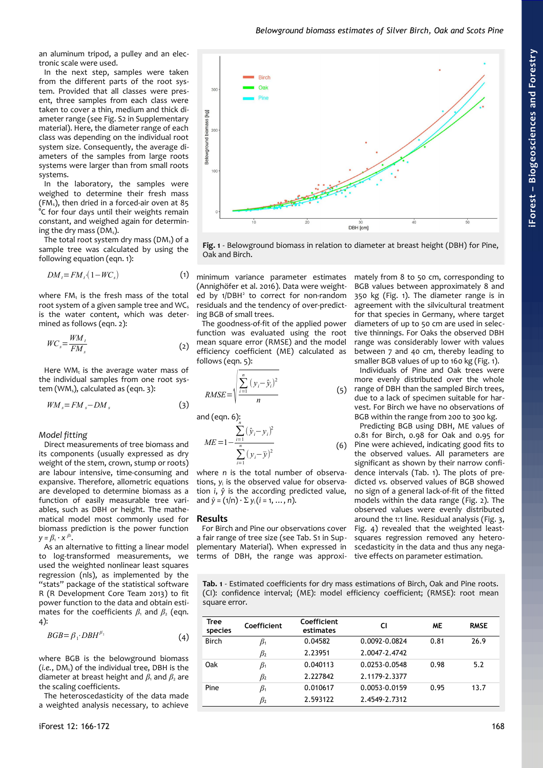an aluminum tripod, a pulley and an electronic scale were used.

In the next step, samples were taken from the different parts of the root system. Provided that all classes were present, three samples from each class were taken to cover a thin, medium and thick diameter range (see Fig. S2 in Supplementary material). Here, the diameter range of each class was depending on the individual root system size. Consequently, the average diameters of the samples from large roots systems were larger than from small roots systems.

In the laboratory, the samples were weighed to determine their fresh mass (FM<sub>s</sub>), then dried in a forced-air oven at 85 °C for four days until their weights remain constant, and weighed again for determining the dry mass ( $DM<sub>s</sub>$ ).

The total root system dry mass ( $DM<sub>t</sub>$ ) of a sample tree was calculated by using the following equation (eqn. 1):

$$
DM_t = FM_t \cdot (1 - WC_s) \tag{1}
$$

where  $FM_t$  is the fresh mass of the total root system of a given sample tree and  $WC_s$ is the water content, which was determined as follows (eqn. 2):

$$
WC_s = \frac{WM_i}{FM_s} \tag{2}
$$

Here  $WM_t$  is the average water mass of the individual samples from one root system (WM $<sub>s</sub>$ ), calculated as (eqn. 3):</sub>

$$
WM_s = FM_s - DM_s \tag{3}
$$

*Model fitting*

Direct measurements of tree biomass and its components (usually expressed as dry weight of the stem, crown, stump or roots) are labour intensive, time-consuming and expansive. Therefore, allometric equations are developed to determine biomass as a function of easily measurable tree variables, such as DBH or height. The mathematical model most commonly used for biomass prediction is the power function  $y = \beta_1 \cdot x^{\beta_2}$ .

As an alternative to fitting a linear model to log-transformed measurements, we used the weighted nonlinear least squares regression (nls), as implemented by the "stats" package of the statistical software R (R Development Core Team 2013) to fit power function to the data and obtain estimates for the coefficients  $\beta_1$  and  $\beta_2$  (eqn. 4):

$$
BGB = \beta_1 \cdot DBH^{\beta_2} \tag{4}
$$

where BGB is the belowground biomass  $(i.e., DM<sub>t</sub>)$  of the individual tree, DBH is the diameter at breast height and  $β_1$  and  $β_2$  are the scaling coefficients.

The heteroscedasticity of the data made a weighted analysis necessary, to achieve



<span id="page-2-0"></span>**Fig. 1** - Belowground biomass in relation to diameter at breast height (DBH) for Pine, Oak and Birch.

minimum variance parameter estimates (Annighöfer et al. 2016). Data were weighted by 1/DBH<sup>2</sup> to correct for non-random residuals and the tendency of over-predicting BGB of small trees.

The goodness-of-fit of the applied power function was evaluated using the root mean square error (RMSE) and the model efficiency coefficient (ME) calculated as follows (eqn. 5):

$$
RMSE = \sqrt{\frac{\sum_{i=1}^{n} (y_i - \hat{y}_i)^2}{n}}
$$
 (5)

and (eqn. 6):

*M* 

$$
I E = 1 - \frac{\sum_{i=1}^{n} (\hat{y}_i - y_i)^2}{\sum_{i=1}^{n} (y_i - \bar{y})^2}
$$
 (6)

where *n* is the total number of observations, y<sub>i</sub> is the observed value for observation *i*, *ŷ* is the according predicted value, and  $\bar{y} = (1/n) \cdot \sum y_i (i = 1, ..., n)$ .

## **Results**

For Birch and Pine our observations cover a fair range of tree size (see Tab. S1 in Supplementary Material). When expressed in terms of DBH, the range was approxi-

mately from 8 to 50 cm, corresponding to BGB values between approximately 8 and 350 kg [\(Fig. 1\)](#page-2-0). The diameter range is in agreement with the silvicultural treatment for that species in Germany, where target diameters of up to 50 cm are used in selective thinnings. For Oaks the observed DBH range was considerably lower with values between 7 and 40 cm, thereby leading to smaller BGB values of up to 160 kg [\(Fig. 1\)](#page-2-0).

Individuals of Pine and Oak trees were more evenly distributed over the whole range of DBH than the sampled Birch trees, due to a lack of specimen suitable for harvest. For Birch we have no observations of BGB within the range from 200 to 300 kg.

Predicting BGB using DBH, ME values of 0.81 for Birch, 0.98 for Oak and 0.95 for Pine were achieved, indicating good fits to the observed values. All parameters are significant as shown by their narrow confidence intervals [\(Tab. 1\)](#page-2-1). The plots of predicted *vs.* observed values of BGB showed no sign of a general lack-of-fit of the fitted models within the data range [\(Fig. 2\)](#page-3-2). The observed values were evenly distributed around the 1:1 line. Residual analysis [\(Fig. 3,](#page-3-1) [Fig. 4\)](#page-3-0) revealed that the weighted leastsquares regression removed any heteroscedasticity in the data and thus any negative effects on parameter estimation.

<span id="page-2-1"></span>**Tab. 1** - Estimated coefficients for dry mass estimations of Birch, Oak and Pine roots. (CI): confidence interval; (ME): model efficiency coefficient; (RMSE): root mean square error.

| Tree<br>species | Coefficient | Coefficient<br>estimates | СI            | <b>ME</b> | <b>RMSE</b> |
|-----------------|-------------|--------------------------|---------------|-----------|-------------|
| <b>Birch</b>    | $\beta_1$   | 0.04582                  | 0.0092-0.0824 | 0.81      | 26.9        |
|                 | $\beta_2$   | 2.23951                  | 2.0047-2.4742 |           |             |
| Oak             | $\beta_1$   | 0.040113                 | 0.0253-0.0548 | 0.98      | 5.2         |
|                 | $\beta_2$   | 2.227842                 | 2.1179-2.3377 |           |             |
| Pine            | $\beta_1$   | 0.010617                 | 0.0053-0.0159 | 0.95      | 13.7        |
|                 | $\beta_2$   | 2.593122                 | 2.4549-2.7312 |           |             |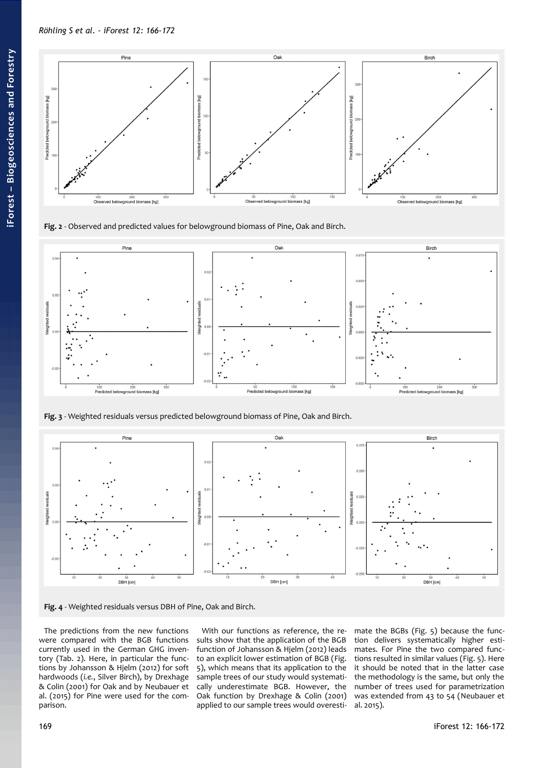

<span id="page-3-2"></span>**Fig. 2** - Observed and predicted values for belowground biomass of Pine, Oak and Birch.



<span id="page-3-1"></span>**Fig. 3** - Weighted residuals versus predicted belowground biomass of Pine, Oak and Birch.



<span id="page-3-0"></span>

The predictions from the new functions were compared with the BGB functions currently used in the German GHG inventory [\(Tab. 2\)](#page-4-1). Here, in particular the functions by Johansson & Hjelm (2012) for soft hardwoods (*i.e.*, Silver Birch), by Drexhage & Colin (2001) for Oak and by Neubauer et al. (2015) for Pine were used for the comparison.

With our functions as reference, the results show that the application of the BGB function of Johansson & Hjelm (2012) leads to an explicit lower estimation of BGB ([Fig.](#page-4-0) [5\)](#page-4-0), which means that its application to the sample trees of our study would systematically underestimate BGB. However, the Oak function by Drexhage & Colin (2001) applied to our sample trees would overesti-

mate the BGBs [\(Fig. 5\)](#page-4-0) because the function delivers systematically higher estimates. For Pine the two compared functions resulted in similar values [\(Fig. 5\)](#page-4-0). Here it should be noted that in the latter case the methodology is the same, but only the number of trees used for parametrization was extended from 43 to 54 (Neubauer et al. 2015).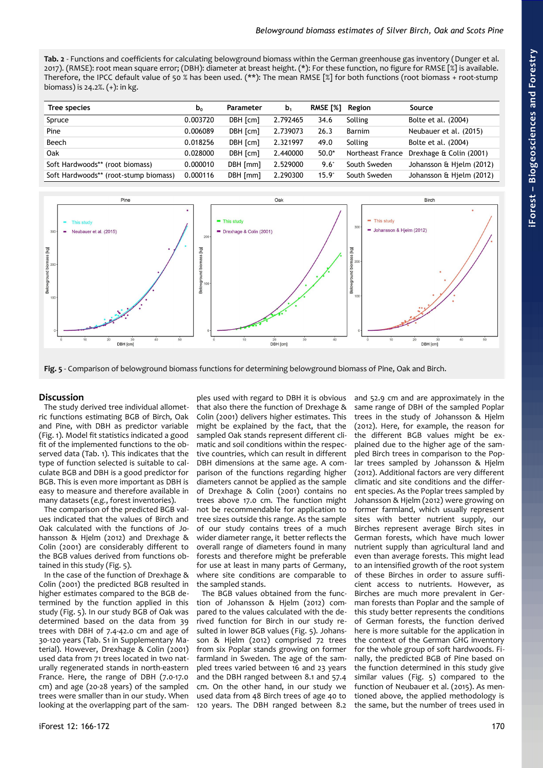<span id="page-4-1"></span>**Tab. 2** - Functions and coefficients for calculating belowground biomass within the German greenhouse gas inventory (Dunger et al. 2017). (RMSE): root mean square error; (DBH): diameter at breast height. (\*): For these function, no figure for RMSE [%] is available. Therefore, the IPCC default value of 50 % has been used. (\*\*): The mean RMSE [%] for both functions (root biomass + root-stump biomass) is 24.2%. (+): in kg.

| Tree species                          | b <sub>o</sub> | Parameter | b <sub>1</sub> | RMSE [%]      | Region           | Source                   |
|---------------------------------------|----------------|-----------|----------------|---------------|------------------|--------------------------|
| Spruce                                | 0.003720       | DBH [cm]  | 2.792465       | 34.6          | Solling          | Bolte et al. (2004)      |
| Pine                                  | 0.006089       | DBH [cm]  | 2.739073       | 26.3          | Barnim           | Neubauer et al. (2015)   |
| Beech                                 | 0.018256       | DBH [cm]  | 2.321997       | 49.0          | Solling          | Bolte et al. (2004)      |
| Oak                                   | 0.028000       | DBH [cm]  | 2.440000       | $50.0*$       | Northeast France | Drexhage & Colin (2001)  |
| Soft Hardwoods** (root biomass)       | 0.000010       | DBH [mm]  | 2.529000       | $9.6^{\circ}$ | South Sweden     | Johansson & Hjelm (2012) |
| Soft Hardwoods** (root-stump biomass) | 0.000116       | DBH [mm]  | 2.290300       | $15.9^{+}$    | South Sweden     | Johansson & Hjelm (2012) |



<span id="page-4-0"></span>**Fig. 5** - Comparison of belowground biomass functions for determining belowground biomass of Pine, Oak and Birch.

# **Discussion**

The study derived tree individual allometric functions estimating BGB of Birch, Oak and Pine, with DBH as predictor variable [\(Fig. 1\)](#page-2-0). Model fit statistics indicated a good fit of the implemented functions to the observed data [\(Tab. 1\)](#page-2-1). This indicates that the type of function selected is suitable to calculate BGB and DBH is a good predictor for BGB. This is even more important as DBH is easy to measure and therefore available in many datasets (*e.g.*, forest inventories).

The comparison of the predicted BGB values indicated that the values of Birch and Oak calculated with the functions of Johansson & Hjelm (2012) and Drexhage & Colin (2001) are considerably different to the BGB values derived from functions obtained in this study [\(Fig. 5\)](#page-4-0).

In the case of the function of Drexhage & Colin (2001) the predicted BGB resulted in higher estimates compared to the BGB determined by the function applied in this study [\(Fig. 5\)](#page-4-0). In our study BGB of Oak was determined based on the data from 39 trees with DBH of 7.4-42.0 cm and age of 30-120 years (Tab. S1 in Supplementary Material). However, Drexhage & Colin (2001) used data from 71 trees located in two naturally regenerated stands in north-eastern France. Here, the range of DBH (7.0-17.0 cm) and age (20-28 years) of the sampled trees were smaller than in our study. When looking at the overlapping part of the sam-

ples used with regard to DBH it is obvious that also there the function of Drexhage & Colin (2001) delivers higher estimates. This might be explained by the fact, that the sampled Oak stands represent different climatic and soil conditions within the respective countries, which can result in different DBH dimensions at the same age. A comparison of the functions regarding higher diameters cannot be applied as the sample of Drexhage & Colin (2001) contains no trees above 17.0 cm. The function might not be recommendable for application to tree sizes outside this range. As the sample of our study contains trees of a much wider diameter range, it better reflects the overall range of diameters found in many forests and therefore might be preferable for use at least in many parts of Germany, where site conditions are comparable to the sampled stands.

The BGB values obtained from the function of Johansson & Hjelm (2012) compared to the values calculated with the derived function for Birch in our study resulted in lower BGB values [\(Fig. 5\)](#page-4-0). Johansson & Hjelm (2012) comprised 72 trees from six Poplar stands growing on former farmland in Sweden. The age of the sampled trees varied between 16 and 23 years and the DBH ranged between 8.1 and 57.4 cm. On the other hand, in our study we used data from 48 Birch trees of age 40 to 120 years. The DBH ranged between 8.2

and 52.9 cm and are approximately in the same range of DBH of the sampled Poplar trees in the study of Johansson & Hjelm (2012). Here, for example, the reason for the different BGB values might be explained due to the higher age of the sampled Birch trees in comparison to the Poplar trees sampled by Johansson & Hjelm (2012). Additional factors are very different climatic and site conditions and the different species. As the Poplar trees sampled by Johansson & Hjelm (2012) were growing on former farmland, which usually represent sites with better nutrient supply, our Birches represent average Birch sites in German forests, which have much lower nutrient supply than agricultural land and even than average forests. This might lead to an intensified growth of the root system of these Birches in order to assure sufficient access to nutrients. However, as Birches are much more prevalent in German forests than Poplar and the sample of this study better represents the conditions of German forests, the function derived here is more suitable for the application in the context of the German GHG inventory for the whole group of soft hardwoods. Finally, the predicted BGB of Pine based on the function determined in this study give similar values [\(Fig. 5\)](#page-4-0) compared to the function of Neubauer et al. (2015). As mentioned above, the applied methodology is the same, but the number of trees used in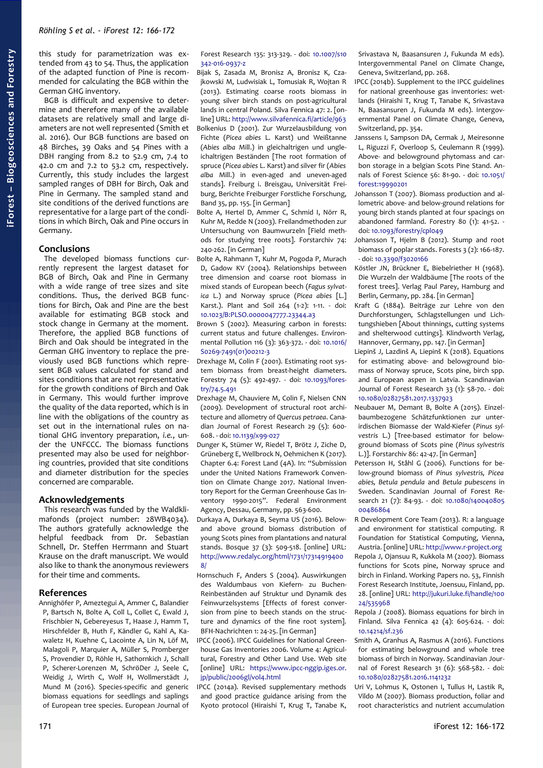this study for parametrization was extended from 43 to 54. Thus, the application of the adapted function of Pine is recommended for calculating the BGB within the German GHG inventory.

BGB is difficult and expensive to determine and therefore many of the available datasets are relatively small and large diameters are not well represented (Smith et al. 2016). Our BGB functions are based on 48 Birches, 39 Oaks and 54 Pines with a DBH ranging from 8.2 to 52.9 cm, 7.4 to 42.0 cm and 7.2 to 53.2 cm, respectively. Currently, this study includes the largest sampled ranges of DBH for Birch, Oak and Pine in Germany. The sampled stand and site conditions of the derived functions are representative for a large part of the conditions in which Birch, Oak and Pine occurs in Germany.

## **Conclusions**

The developed biomass functions currently represent the largest dataset for BGB of Birch, Oak and Pine in Germany with a wide range of tree sizes and site conditions. Thus, the derived BGB functions for Birch, Oak and Pine are the best available for estimating BGB stock and stock change in Germany at the moment. Therefore, the applied BGB functions of Birch and Oak should be integrated in the German GHG inventory to replace the previously used BGB functions which represent BGB values calculated for stand and sites conditions that are not representative for the growth conditions of Birch and Oak in Germany. This would further improve the quality of the data reported, which is in line with the obligations of the country as set out in the international rules on national GHG inventory preparation, *i.e.*, under the UNFCCC. The biomass functions presented may also be used for neighboring countries, provided that site conditions and diameter distribution for the species concerned are comparable.

#### **Acknowledgements**

This research was funded by the Waldklimafonds (project number: 28WB4034). The authors gratefully acknowledge the helpful feedback from Dr. Sebastian Schnell, Dr. Steffen Herrmann and Stuart Krause on the draft manuscript. We would also like to thank the anonymous reviewers for their time and comments.

### **References**

Annighöfer P, Ameztegui A, Ammer C, Balandier P, Bartsch N, Bolte A, Coll L, Collet C, Ewald J, Frischbier N, Gebereyesus T, Haase J, Hamm T, Hirschfelder B, Huth F, Kändler G, Kahl A, Kawaletz H, Kuehne C, Lacointe A, Lin N, Löf M, Malagoli P, Marquier A, Müller S, Promberger S, Provendier D, Röhle H, Sathornkich J, Schall P, Scherer-Lorenzen M, SchröDer J, Seele C, Weidig J, Wirth C, Wolf H, Wollmerstädt J, Mund M (2016). Species-specific and generic biomass equations for seedlings and saplings of European tree species. European Journal of

Forest Research 135: 313-329. - doi: [10.1007/s10](https://doi.org/10.1007/s10342-016-0937-z) [342-016-0937-z](https://doi.org/10.1007/s10342-016-0937-z)

- Bijak S, Zasada M, Bronisz A, Bronisz K, Czajkowski M, Ludwisiak L, Tomusiak R, Wojtan R (2013). Estimating coarse roots biomass in young silver birch stands on post-agricultural lands in central Poland. Silva Fennica 47: 2. [online] URL:<http://www.silvafennica.fi/article/963> Bolkenius D (2001). Zur Wurzelausbildung von Fichte (*Picea abies* L. Karst) und Weißtanne (*Abies alba* Mill.) in gleichaltrigen und ungleichaltrigen Beständen [The root formation of spruce (*Picea abies* L. Karst) and silver fir (*Abies alba* Mill.) in even-aged and uneven-aged stands]. Freiburg i. Breisgau, Universität Freiburg, Berichte Freiburger Forstliche Forschung, Band 35, pp. 155. [in German]
- Bolte A, Hertel D, Ammer C, Schmid I, Nörr R, Kuhr M, Redde N (2003). Freilandmethoden zur Untersuchung von Baumwurzeln [Field methods for studying tree roots]. Forstarchiv 74: 240-262. [in German]
- Bolte A, Rahmann T, Kuhr M, Pogoda P, Murach D, Gadow KV (2004). Relationships between tree dimension and coarse root biomass in mixed stands of European beech (*Fagus sylvatica* L.) and Norway spruce (*Picea abies* [L.] Karst.). Plant and Soil 264 (1-2): 1-11. - doi: [10.1023/B:PLSO.0000047777.23344.a3](https://doi.org/10.1023/B:PLSO.0000047777.23344.a3)
- Brown S (2002). Measuring carbon in forests: current status and future challenges. Environmental Pollution 116 (3): 363-372. - doi: [10.1016/](https://doi.org/10.1016/S0269-7491(01)00212-3) [S0269-7491\(01\)00212-3](https://doi.org/10.1016/S0269-7491(01)00212-3)
- Drexhage M, Colin F (2001). Estimating root system biomass from breast-height diameters. Forestry 74 (5): 492-497. - doi: [10.1093/fores](https://doi.org/10.1093/forestry/74.5.491)[try/74.5.491](https://doi.org/10.1093/forestry/74.5.491)
- Drexhage M, Chauviere M, Colin F, Nielsen CNN (2009). Development of structural root architecture and allometry of *Quercus petraea*. Canadian Journal of Forest Research 29 (5): 600- 608. - doi: [10.1139/x99-027](https://doi.org/10.1139/x99-027)
- Dunger K, Stümer W, Riedel T, Brötz J, Ziche D, Grüneberg E, Wellbrock N, Oehmichen K (2017). Chapter 6.4: Forest Land (4A). In: "Submission under the United Nations Framework Convention on Climate Change 2017. National Inventory Report for the German Greenhouse Gas Inventory 1990-2015". Federal Environment Agency, Dessau, Germany, pp. 563-600.
- Durkaya A, Durkaya B, Seyma US (2016). Belowand above ground biomass distribution of young Scots pines from plantations and natural stands. Bosque 37 (3): 509-518. [online] URL: [http://www.redalyc.org/html/1731/17314919400](http://www.redalyc.org/html/1731/173149194008/) [8/](http://www.redalyc.org/html/1731/173149194008/)
- Hornschuch F, Anders S (2004). Auswirkungen des Waldumbaus von Kiefern- zu Buchen-Reinbeständen auf Struktur und Dynamik des Feinwurzelsystems [Effects of forest conversion from pine to beech stands on the structure and dynamics of the fine root system]. BFH-Nachrichten 1: 24-25. [in German]
- IPCC (2006). IPCC Guidelines for National Greenhouse Gas Inventories 2006. Volume 4: Agricultural, Forestry and Other Land Use. Web site [online] URL: [https://www.ipcc-nggip.iges.or.](https://www.ipcc-nggip.iges.or.jp/public/2006gl/vol4.html) [jp/public/2006gl/vol4.html](https://www.ipcc-nggip.iges.or.jp/public/2006gl/vol4.html)
- IPCC (2014a). Revised supplementary methods and good practice guidance arising from the Kyoto protocol (Hiraishi T, Krug T, Tanabe K,

Srivastava N, Baasansuren J, Fukunda M eds). Intergovernmental Panel on Climate Change, Geneva, Switzerland, pp. 268.

- IPCC (2014b). Supplement to the IPCC guidelines for national greenhouse gas inventories: wetlands (Hiraishi T, Krug T, Tanabe K, Srivastava N, Baasansuren J, Fukunda M eds). Intergovernmental Panel on Climate Change, Geneva, Switzerland, pp. 354.
- Janssens I, Sampson DA, Cermak J, Meiresonne L, Riguzzi F, Overloop S, Ceulemann R (1999). Above- and belowground phytomass and carbon storage in a belgian Scots Pine Stand. Annals of Forest Science 56: 81-90. - doi: [10.1051/](https://doi.org/10.1051/forest:19990201) [forest:19990201](https://doi.org/10.1051/forest:19990201)
- Johansson T (2007). Biomass production and allometric above- and below-ground relations for young birch stands planted at four spacings on abandoned farmland. Forestry 80 (1): 41-52. doi: [10.1093/forestry/cpl049](https://doi.org/10.1093/forestry/cpl049)
- Johansson T, Hjelm B (2012). Stump and root biomass of poplar stands. Forests 3 (2): 166-187. - doi: [10.3390/f3020166](https://doi.org/10.3390/f3020166)
- Köstler JN, Brückner E, Biebelriether H (1968). Die Wurzeln der Waldbäume [The roots of the forest trees]. Verlag Paul Parey, Hamburg and Berlin, Germany, pp. 284. [in German]
- Kraft G (1884). Beiträge zur Lehre von den Durchforstungen, Schlagstellungen und Lichtungshieben [About thinnings, cutting systems and shelterwood cuttings]. Klindworth Verlag, Hannover, Germany, pp. 147. [in German]
- Liepinš J, Lazdinš A, Liepinš K (2018). Equations for estimating above- and belowground biomass of Norway spruce, Scots pine, birch spp. and European aspen in Latvia. Scandinavian Journal of Forest Research 33 (1): 58-70. - doi: [10.1080/02827581.2017.1337923](https://doi.org/10.1080/02827581.2017.1337923)
- Neubauer M, Demant B, Bolte A (2015). Einzelbaumbezogene Schätzfunktionen zur unterirdischen Biomasse der Wald-Kiefer (*Pinus sylvestris* L.) [Tree-based estimator for belowground biomass of Scots pine (*Pinus sylvestris* L.)]. Forstarchiv 86: 42-47. [in German]
- Petersson H, Ståhl G (2006). Functions for below-ground biomass of *Pinus sylvestris, Picea abies, Betula pendula* and *Betula pubescens* in Sweden. Scandinavian Journal of Forest Research 21 (7): 84-93. - doi: [10.1080/140040805](https://doi.org/10.1080/14004080500486864) [00486864](https://doi.org/10.1080/14004080500486864)
- R Development Core Team (2013). R: a language and environment for statistical computing. R Foundation for Statistical Computing, Vienna, Austria. [online] URL: [http://www.r-project.org](http://www.r-project.org/) Repola J, Ojansuu R, Kukkola M (2007). Biomass functions for Scots pine, Norway spruce and birch in Finland. Working Papers no. 53, Finnish Forest Research Institute, Joensuu, Finland, pp. 28. [online] URL: [http://jukuri.luke.fi/handle/100](http://jukuri.luke.fi/handle/10024/535968) [24/535968](http://jukuri.luke.fi/handle/10024/535968)
- Repola J (2008). Biomass equations for birch in Finland. Silva Fennica 42 (4): 605-624. - doi: [10.14214/sf.236](https://doi.org/10.14214/sf.236)
- Smith A, Granhus A, Rasmus A (2016). Functions for estimating belowground and whole tree biomass of birch in Norway. Scandinavian Journal of Forest Research 31 (6): 568-582. - doi: [10.1080/02827581.2016.1141232](https://doi.org/10.1080/02827581.2016.1141232)
- Uri V, Lohmus K, Ostonen I, Tullus H, Lastik R, Vildo M (2007). Biomass production, foliar and root characteristics and nutrient accumulation